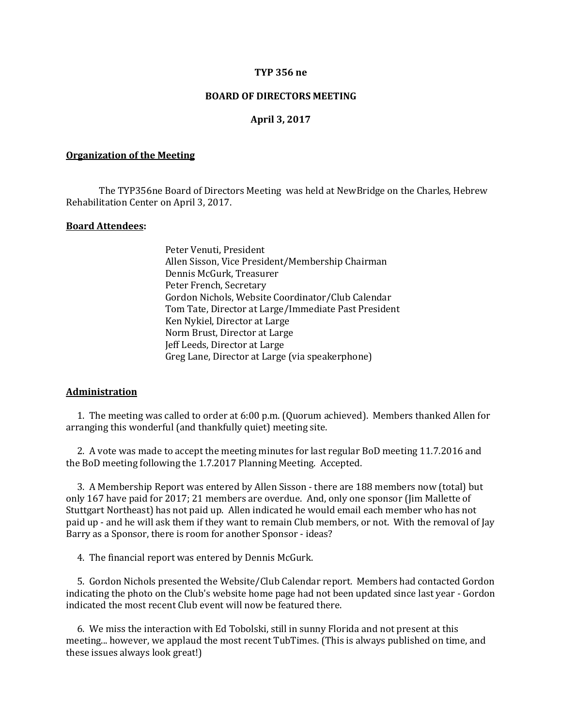### **TYP 356 ne**

## **BOARD OF DIRECTORS MEETING**

# **April 3, 2017**

#### **Organization of the Meeting**

The TYP356ne Board of Directors Meeting was held at NewBridge on the Charles, Hebrew Rehabilitation Center on April 3, 2017.

#### **Board Attendees:**

Peter Venuti, President Allen Sisson, Vice President/Membership Chairman Dennis McGurk, Treasurer Peter French, Secretary Gordon Nichols, Website Coordinator/Club Calendar Tom Tate, Director at Large/Immediate Past President Ken Nykiel, Director at Large Norm Brust, Director at Large Jeff Leeds, Director at Large Greg Lane, Director at Large (via speakerphone)

### **Administration**

 1. The meeting was called to order at 6:00 p.m. (Quorum achieved). Members thanked Allen for arranging this wonderful (and thankfully quiet) meeting site.

 2. A vote was made to accept the meeting minutes for last regular BoD meeting 11.7.2016 and the BoD meeting following the 1.7.2017 Planning Meeting. Accepted.

 3. A Membership Report was entered by Allen Sisson - there are 188 members now (total) but only 167 have paid for 2017; 21 members are overdue. And, only one sponsor (Jim Mallette of Stuttgart Northeast) has not paid up. Allen indicated he would email each member who has not paid up - and he will ask them if they want to remain Club members, or not. With the removal of Jay Barry as a Sponsor, there is room for another Sponsor - ideas?

4. The financial report was entered by Dennis McGurk.

 5. Gordon Nichols presented the Website/Club Calendar report. Members had contacted Gordon indicating the photo on the Club's website home page had not been updated since last year - Gordon indicated the most recent Club event will now be featured there.

 6. We miss the interaction with Ed Tobolski, still in sunny Florida and not present at this meeting... however, we applaud the most recent TubTimes. (This is always published on time, and these issues always look great!)